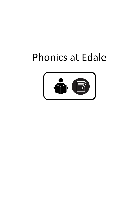# Phonics at Edale

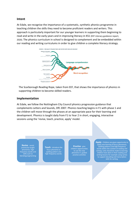# Intent

At Edale, we recognise the importance of a systematic, synthetic phonics programme in teaching children the skills they need to become proficient readers and writers. This approach is particularly important for our younger learners in supporting them beginning to read and write in the early years and in improving literacy in KS1 (EEF Literacy guidance report, 2020). The phonics curriculum in school is designed to complement and be embedded within our reading and writing curriculums in order to give children a complete literacy strategy.



The Scarborough Reading Rope, taken from EEF, that shows the importance of phonics in supporting children to become skilled readers.

# Implementation

At Edale, we follow the Nottingham City Council phonics progression guidance that complements Letters and Sounds, DfE 2007. Phonics teaching begins in F1 with phase 1 and the children will move through the phases at an appropriate pace for their learning and development. Phonics is taught daily from F1 to Year 2 in short, engaging, interactive sessions using the 'revise, teach, practice, apply' model. Examborough Reading Rope, taken from EEF, that shows the importance exporting children to become skilled readers.<br> **Elementation**<br>
Revise - revisition of the Nottingham City Council phonics progression guidance<br>
plements L Decome skilled readers.<br>
Nottingham City Council phonics progression guidance that<br>
Sounds, DfE 2007. Phonics teaching begins in F1 with phase 1 and<br>
rough the phases at an appropriate pace for their learning and<br>
taught d Apply children are given opportunity to<br>
Tractise - give<br>
Tractise - give<br>
Tractise - give<br>
Practise - give<br>
Depty - Children are given opportunity to<br>
Practise - give<br>
Tractise - give<br>
Depty - Children are given opportuni

phonemes, high and phonemes, high frequency words and **the all assignment of the set of the spelling p** skills such as blending/segmenting

previously taught **Teach** - introduce the focus phoneme or spelling pattern and

high frequency words.<br> **Example 19 respective** the practise activities children opportunities to use the new phoneme in guided

practise activities **we cannot construct to the syntax** practise activities writing lessons for example using syntax Apply - Children are given opportunity to apply new learning of focus phonemes, spelling patterns and high frequency words within the context of reading and writing. Links should be made to learning children have done in their reading and to support decoding and transcription skills for writing.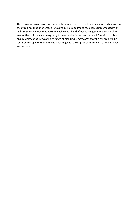The following progression documents show key objectives and outcomes for each phase and the groupings that phonemes are taught in. This document has been complemented with high frequency words that occur in each colour band of our reading scheme in school to ensure that children are being taught these in phonics sessions as well. The aim of this is to ensure daily exposure to a wider range of high frequency words that the children will be required to apply to their individual reading with the impact of improving reading fluency and automacity.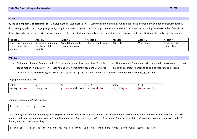By the end of phase 1 children will be: Developing their listening skills  $\bullet$  Comparing and matching sounds made in the environment or made by instruments (e.g.

drum, triangle, bells) ● Singing songs and joining in with action rhymes ● Clapping a beat or rhythm back to an adult ● Clapping out the syllables of words ●

Recognising when words start with the same sound (orally)

| Aspect 1             | Aspect 2             | Aspect 3             | Aspect 4         | Aspect 5     | Aspect 6     | Aspect 7     |
|----------------------|----------------------|----------------------|------------------|--------------|--------------|--------------|
| Sound discrimination | Sound discrimination | Sound discrimination | Rhythm and Rhyme | Alliteration | Voice Sounds | Blending and |
| – environmental      | – instrumental       | - body percussion    |                  |              |              | segmenting   |
| sounds               | sounds               |                      |                  |              |              |              |

## Phase 2

● By the end of phase 2 children will: Give the sound when shown any phase 2 grapheme ● Find any phase 2 grapheme when shown them as a group (e.g. on a sound mat or on a display) ● Orally blend CVC words. Orally segment CVC words ● Blend and segment in order to be able to read, and spell (using magnetic letters or by writing) VC words such as; am, on, up ● Be able to read the common exception words: *the, to, go, no and I* 

## Single phonemes plus /ck/

| Set 1              | Set 2              | Set 3                     | Set 4              | Set 5             | Set 6                   |
|--------------------|--------------------|---------------------------|--------------------|-------------------|-------------------------|
| sat, tap, tap, pat | sit, nip, mat, dip | l gap, on, can, kip, pack | hat, net, rip, bed | win, fit, leg, up | jet, vet, yet, zip, box |
|                    |                    |                           |                    |                   |                         |

Common exception or 'tricky' words:

the to no go into

The following are additional high frequency (HF) words that may be integrated into phonics sessions/sent home with reading books that correspond with the 'pink' PM reading level (some appear later in phase 3 and 4 common exception words but children will encounter them earlier in 1:1 reading books) in order to improve children's fluency and automacity in reading:

a and an is in at up on we me my up are Mum Dad look little here come down went going see said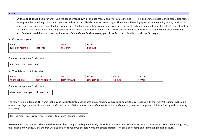- By the end of phase 3 children will: Give the sound when shown all or most Phase 2 and Phase 3 graphemes Find all or most Phase 2 and Phase 3 graphemes when given the sound (e.g. on a sound mat or on a display) ● Blend CVC words consisting of Phase 2 and Phase 3 graphemes when reading words, captions or short sentences and read them aloud accurately  $\bullet$  Read and understand simple sentences  $\bullet$  Segment and make a phonetically plausible attempt at spelling CVC words using Phase 2 and Phase 3 graphemes which match their spoken sounds ● Write simple sentences which can be read by themselves and others
	- Be able to read the common exception words: *he me she we be they was my you all are her*  $\bullet$  Be able to spell: *the I to no go*

3.1 Consonant digraphs

| Set 7               | Set 8     | Set 9     | Set 10    |
|---------------------|-----------|-----------|-----------|
| buzz puff hiss full | chat shop | that thin | sing quit |

Common exception or 'tricky' words:

he we she me be

3.1 Vowel digraphs and trigraghs

| $\frac{1}{2}$ Set 11 | Set 12                 | .<br>Set 13       | Set 14                       | $\sim$ $\sim$ $\sim$ $\sim$ $\sim$<br><b>JUL 19</b> | $\overline{a}$<br>Set 16 |
|----------------------|------------------------|-------------------|------------------------------|-----------------------------------------------------|--------------------------|
| rain feet night      | it look<br>hoc<br>boa. | rarm<br>hurt<br>. | ، dear<br><b>COW</b><br>coin | <b>Tair sure</b>                                    | corner                   |

Common exception or 'tricky' words:

they was my you all are her

The following are additional HF words that may be integrated into phonics sessions/sent home with reading books, that correspond with the 'red' PM reading level (some appear later in phase 4 and 5 common exception words but children will encounter them earlier in 1:1 reading books) in order to improve children's fluency and automacity in reading:

|  | for coming this away you where too goes looked looking |  |  |  |  |  |  |  |  |
|--|--------------------------------------------------------|--|--|--|--|--|--|--|--|
|--|--------------------------------------------------------|--|--|--|--|--|--|--|--|

Assessment: To be secure at Phase 3, children must be starting to make phonemically plausible attempts at most of the words which they want to use in their writing, using their phonic knowledge. Many children will also be able to read two-syllable words and simple captions. The skills of blending and segmenting must be secure.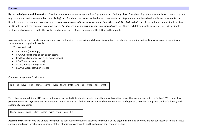By the end of phase 4 children will: Give the sound when shown any phase 2 or 3 grapheme • Find any phase 2, or phase 2 grapheme when shown them as a group (e.g. on a sound mat, on a sound fan, on a display) • Blend and read words with adjacent consonants • Segment and spell words with adjacent consonants • Be able to read the common exception words: some, come, one, said, so, do were, when, have, there, out, like, little, what ● Read and understand simple sentences

● Be able to spell the common exception words: *he, she, we, me, be, was, my, you, her, they, all, are* ● Write each letter, usually correctly ● Write simple sentences which can be read by themselves and others  $\bullet$  Know the names of the letters in the alphabet.

No new graphemes are taught during phase 4. Instead the aim is to consolidate children's knowledge of graphemes in reading and spelling words containing adjacent consonants and polysyllabic words

To read and spell:

- CVC words (rain chop),
- CVCC words (champ bench punch toast),
- CCVC words (spark growl clean swing spoon),
- CCVCC words (trench crust)
- CCCVC words (spring strap)
- CCCVCC words (scrunch streets).

Common exception or 'tricky' words:

said so have like some come were there little one do when out what

The following are additional HF words that may be integrated into phonics sessions/sent home with reading books, that correspond with the 'yellow' PM reading level (some appear later in phase 5 and 6 common exception words but children will encounter them earlier in 1:1 reading books) in order to improve children's fluency and automacity in reading:

them came good stay again with your play his

Assessment: Children who are unable to segment to spell words containing adjacent consonants at the beginning and end or words are not yet secure at Phase 4. These children need more practise of oral segmentation of adjacent consonants and how to represent them in writing.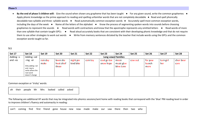• By the end of phase 5 children will: Give the sound when shown any grapheme that has been taught • For any given sound, write the common graphemes • Apply phonic knowledge as the prime approach to reading and spelling unfamiliar words that are not completely decodable ● Read and spell phonically decodable two-syllable and three- syllable words ● Read automatically common exception words ● Accurately spell most common exception words, including the days of the week ● Name all the letters of the alphabet ● Know the process of segmenting spoken words into sounds before choosing graphemes to represent the sounds ● Read words with contractions and know that the apostrophe represents any omitted letters ● Read words of more than one syllable that contain taught GPCs  $\bullet$  Read aloud accurately books that are consistent with their developing phonic knowledge and that do not require them to use other strategies to work out words  $\bullet$  Write from memory sentences dictated by the teacher that include words using the GPCs and the common exception words taught so far.

## 5.1

| <b>Set 17</b> | <b>Set 18</b>                                                                    | <b>Set 19</b> | <b>Set 20</b>       | <b>Set 21</b> | <b>Set 22</b> | <b>Set 23</b> | <b>Set 24</b> | <b>Set 25</b> | <b>Set 26</b> | <b>Set 27</b> | Set 28     |
|---------------|----------------------------------------------------------------------------------|---------------|---------------------|---------------|---------------|---------------|---------------|---------------|---------------|---------------|------------|
| Adding $-s$   | Adding-ed                                                                        |               | Long vowel families |               |               |               |               |               |               |               |            |
| and $-es$     | -ing -er                                                                         | rain day      | been she            | night pie     | coin toy      | coat go toe   | moon          | cow out       | for paw       | turn girl     | chair bear |
|               |                                                                                  | make          | heat chief          | kind bike     |               | snow hope     | music glue    |               | launch        | her           | care       |
|               | Only adding -ed<br>and -ing to<br>verbs where the<br>root word<br>doesn't change |               | these               |               |               |               | blew June     |               | more          |               |            |

Common exception or 'tricky' words:

| oh their people Mr Mrs looked called asked |  |  |  |  |  |  |  |  |
|--------------------------------------------|--|--|--|--|--|--|--|--|
|--------------------------------------------|--|--|--|--|--|--|--|--|

The following are additional HF words that may be integrated into phonics sessions/sent home with reading books that correspond with the 'blue' PM reading level in order to improve children's fluency and automacity in reading:

|  | can't coming find first friend gone house new now made make our saw there then two who |  |  |  |  |  |  |  |  |  |  |  |  |  |  |  |  |
|--|----------------------------------------------------------------------------------------|--|--|--|--|--|--|--|--|--|--|--|--|--|--|--|--|
|--|----------------------------------------------------------------------------------------|--|--|--|--|--|--|--|--|--|--|--|--|--|--|--|--|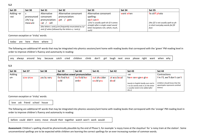| <b>Set 29</b> | <b>Set 30</b>        | <b>Set 31</b>  | <b>Set 32</b>         | Set 33                                 | <b>Set 34</b> | <b>Set 35</b>                       |
|---------------|----------------------|----------------|-----------------------|----------------------------------------|---------------|-------------------------------------|
| Adding –er    |                      | Alternative    | Alternative consonant | Alternative consonant                  | went when     | fix stiff photo                     |
| -est          | pronounced           | consonant      | pronunciation:        | spelling:                              |               |                                     |
|               | $\frac{1}{2}$ h/ e.g | pronunciation: | get<br>gem            | each catch                             |               |                                     |
|               | measure              | cell<br>cat    |                       | (/ch/ is usually spelt tch if it comes |               | (the /f/ is not usually spelt as ph |

Common exception or 'tricky' words:

today are here there where

The following are additional HF words that may be integrated into phonics sessions/sent home with reading books that correspond with the 'green' PM reading level in order to improve children's fluency and automacity in reading:

(the letters c and g are frequently enunciated as /s/  $\left| \begin{array}{c} \text{strually in } \text{sur} \\ \text{letter Exercises} \end{array} \right|$  in the letters c and g are frequently enunciated as /s/  $\left| \begin{array}{c} \text{strually in } \text{sur} \\ \text{letter Exercises} \end{array} \right|$  in the letter of the letter of

straight after a single vowel sound letter Exceptions rich, which, much, in short everyday words-fat fill

|  |  | any always around boy because catch cried children climb don't girl laugh next once please right want when why |  |  |  |  |  |  |  |
|--|--|----------------------------------------------------------------------------------------------------------------|--|--|--|--|--|--|--|
|  |  |                                                                                                                |  |  |  |  |  |  |  |

such)

#### 5.3

| <b>Set 36</b> | <b>Set 37</b>   | <b>Set 38</b>      | <b>Set 39</b>                   | <b>Set 40</b>          | <b>Set 41</b>             | <b>Set 42</b>       | <b>Set 43</b>                                                                                                                                        | <b>Set 44</b>                                                                                              |
|---------------|-----------------|--------------------|---------------------------------|------------------------|---------------------------|---------------------|------------------------------------------------------------------------------------------------------------------------------------------------------|------------------------------------------------------------------------------------------------------------|
| Adding        |                 |                    | Alternative vowel pronunciation |                        |                           |                     | -ve                                                                                                                                                  | Contractions                                                                                               |
| l un-         | <b>COW CrOW</b> | <b>ves by very</b> | fin find hot<br>cold            | tie field her<br>order | out shoulder<br>could you | at was bead<br>dead | have save gave give<br>(words in English hardly ever end in<br>v so if a words ends in /v/ the letter<br>e usually needs to be added after<br>the v) | I'm I'll, we'll don't can't<br>(children should know that the<br>apostrophe represents omitted<br>letters) |

Common exception or 'tricky' words:

love ask friend school house

The following are additional HF words that may be integrated into phonics sessions/sent home with reading books that correspond with the 'orange' PM reading level in order to improve children's fluency and automacity in reading:

before could didn't every move should their together watch won't work would

and /j/ when followed by the letters e, I and y)

Assessment: Children's spelling should be phonemically plausible by the end of Phase 5, for example 'a noyzy trane at the stayshun' for 'a noisy train at the station'. Some unconventional spellings are to be expected while children are learning the correct spellings for an ever-increasing number of common words.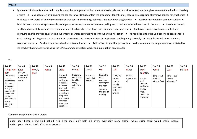• By the end of phase 6 children will: Apply phonic knowledge and skills as the route to decode words until automatic decoding has become embedded and reading is fluent  $\bullet$  Read accurately by blending the sounds in words that contain the graphemes taught so far, especially recognising alternative sounds for graphemes  $\bullet$ Read accurately words of two or more syllables that contain the same graphemes that have been taught so far  $\bullet$  Read words containing common suffixes  $\bullet$ Read further common exception words, noting unusual correspondences between spelling and sound and where these occur in the word • Read most words quickly and accurately, without overt sounding and blending when they have been frequently encountered ● Read aloud books closely matched to their improving phonic knowledge, sounding out unfamiliar words accurately and without undue hesitation ● Re-read books to build up fluency and confidence in word reading ● Segment spoken sounds into phonemes and represent these by graphemes, spelling many correctly ● Be able to spell more common exception words ● Be able to spell words with contracted forms ● Add suffixes to spell longer words ● Write from memory simple sentences dictated by the teacher that include words using the GPCs, common exception words and punctuation taught so far

6.1

| <b>Set 45</b>                                                                                                                                                                                        | <b>Set 46</b>                                                  | <b>Set 47</b>  | <b>Set 48</b> | <b>Set 49</b>                                                                                                                                                                                       | <b>Set 50</b>                                                             | <b>Set 51</b>                                   | <b>Set 52</b>                                                                                                  | <b>Set 53</b>                                                                                             | <b>Set 54</b>                                  | <b>Set 55</b>                                                                                                            | <b>Set 56</b>                                      | <b>Set 57</b>                                          | <b>Set 58</b> |
|------------------------------------------------------------------------------------------------------------------------------------------------------------------------------------------------------|----------------------------------------------------------------|----------------|---------------|-----------------------------------------------------------------------------------------------------------------------------------------------------------------------------------------------------|---------------------------------------------------------------------------|-------------------------------------------------|----------------------------------------------------------------------------------------------------------------|-----------------------------------------------------------------------------------------------------------|------------------------------------------------|--------------------------------------------------------------------------------------------------------------------------|----------------------------------------------------|--------------------------------------------------------|---------------|
| badge age<br>gem<br>(The letter j<br>is never<br>used for the<br>/dʒ/ sound<br>at the end<br>of English<br>words and is<br>sometimes<br>spelt as g<br>elsewhere in<br>words<br>before e, i<br>and y) | Race<br>(The $/s/$<br>sound spelt<br>c before e, i<br>and $y)$ | knock,<br>gnat | write         | table<br>(the most<br>common<br>spelling for<br>this sound<br>at the end<br>of words)<br>camel (the $-$<br>el spelling is<br>using after<br>m, n, r,s,v,w<br>and more<br>often than<br>not after s) | Metal<br>(not many<br>nouns end<br>in-al but<br>many<br>adjectives<br>do) | pencil<br>(not many<br>words that<br>end in il) | <b>CIV</b><br>(this is the<br>most<br>common<br>spelling for<br>the $/aI/$<br>sound at<br>the end of<br>words) | ball<br>(The $/$ ): $/$<br>sound<br>$('or')$ is<br>usually<br>spelt as <b>a</b><br>before I<br>and $II$ ) | other<br>(The $/\Lambda/$<br>sound spelt<br>O) | want<br>quantity<br>(a is the<br>most<br>common<br>spelling for<br>the $/p/$<br>('hot')<br>sound after<br>$w$ and $qu$ ) | work<br>(The sound<br>spelt or<br>after w $/3$ :/) | War<br>(The sound<br>spelt ar<br>after w $/$ $2$ : $/$ | station       |

Common exception or 'tricky' words:

door poor because find kind behind wild climb most only both old every everybody many clothes whole sugar could would should people water great steak break Christmas parents